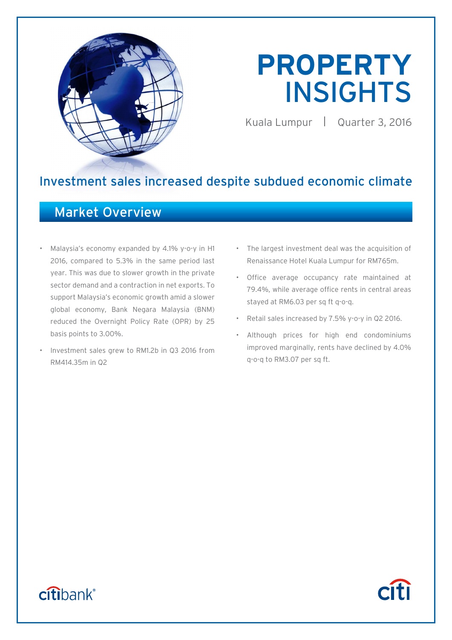

# **PROPERTY**  INSIGHTS

Kuala Lumpur Quarter 3, 2016

**Citi** 

# Investment sales increased despite subdued economic climate

## Market Overview

- Malaysia's economy expanded by 4.1% y-o-y in H1 2016, compared to 5.3% in the same period last year. This was due to slower growth in the private sector demand and a contraction in net exports. To support Malaysia's economic growth amid a slower global economy, Bank Negara Malaysia (BNM) reduced the Overnight Policy Rate (OPR) by 25 basis points to 3.00%.
- Investment sales grew to RM1.2b in Q3 2016 from RM414.35m in Q2
- The largest investment deal was the acquisition of Renaissance Hotel Kuala Lumpur for RM765m.
- Office average occupancy rate maintained at 79.4%, while average office rents in central areas stayed at RM6.03 per sq ft q-o-q.
- Retail sales increased by 7.5% y-o-y in Q2 2016.
- Although prices for high end condominiums improved marginally, rents have declined by 4.0% q-o-q to RM3.07 per sq ft.

# citibank®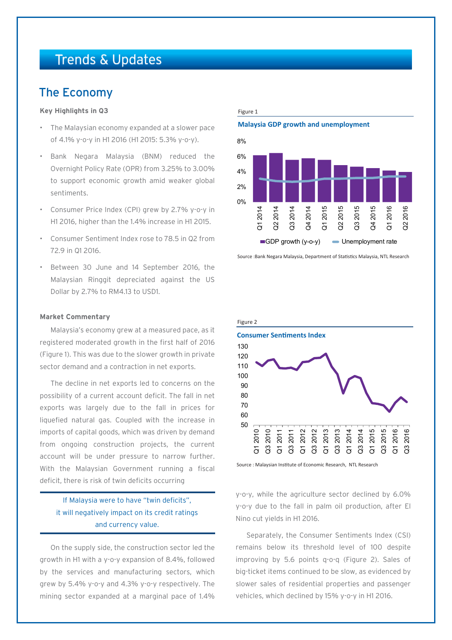# Trends & Updates

### The Economy

### **Key Highlights in Q3**

- The Malaysian economy expanded at a slower pace of 4.1% y-o-y in H1 2016 (H1 2015: 5.3% y-o-y).
- Bank Negara Malaysia (BNM) reduced the Overnight Policy Rate (OPR) from 3.25% to 3.00% to support economic growth amid weaker global sentiments.
- Consumer Price Index (CPI) grew by 2.7% y-o-y in H1 2016, higher than the 1.4% increase in H1 2015.
- Consumer Sentiment Index rose to 78.5 in Q2 from 72.9 in Q1 2016.
- Between 30 June and 14 September 2016, the Malaysian Ringgit depreciated against the US Dollar by 2.7% to RM4.13 to USD1.

#### **Market Commentary**

Malaysia's economy grew at a measured pace, as it registered moderated growth in the first half of 2016 (Figure 1). This was due to the slower growth in private sector demand and a contraction in net exports.

The decline in net exports led to concerns on the possibility of a current account deficit. The fall in net exports was largely due to the fall in prices for liquefied natural gas. Coupled with the increase in imports of capital goods, which was driven by demand from ongoing construction projects, the current account will be under pressure to narrow further. With the Malaysian Government running a fiscal deficit, there is risk of twin deficits occurring

### If Malaysia were to have "twin deficits", it will negatively impact on its credit ratings and currency value.

On the supply side, the construction sector led the growth in H1 with a y-o-y expansion of 8.4%, followed by the services and manufacturing sectors, which grew by 5.4% y-o-y and 4.3% y-o-y respectively. The mining sector expanded at a marginal pace of 1.4%

#### Figure 1

#### **Malaysia GDP growth and unemployment**



Source :Bank Negara Malaysia, Department of Statistics Malaysia, NTL Research



Source : Malaysian Institute of Economic Research, NTL Research

y-o-y, while the agriculture sector declined by 6.0% y-o-y due to the fall in palm oil production, after El Nino cut yields in H1 2016.

Separately, the Consumer Sentiments Index (CSI) remains below its threshold level of 100 despite improving by 5.6 points q-o-q (Figure 2). Sales of big-ticket items continued to be slow, as evidenced by slower sales of residential properties and passenger vehicles, which declined by 15% y-o-y in H1 2016.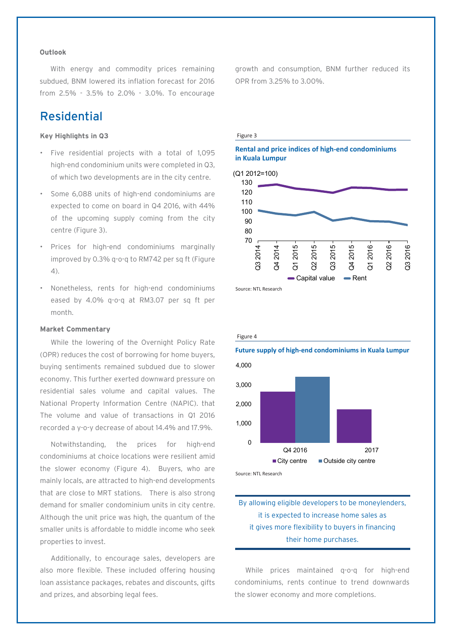### **Outlook**

With energy and commodity prices remaining subdued, BNM lowered its inflation forecast for 2016 from 2.5% - 3.5% to 2.0% - 3.0%. To encourage

### Residential

### **Key Highlights in Q3**

- Five residential projects with a total of 1,095 high-end condominium units were completed in Q3, of which two developments are in the city centre.
- Some 6,088 units of high-end condominiums are expected to come on board in Q4 2016, with 44% of the upcoming supply coming from the city centre (Figure 3).
- Prices for high-end condominiums marginally improved by 0.3% q-o-q to RM742 per sq ft (Figure 4).
- Nonetheless, rents for high-end condominiums eased by 4.0% q-o-q at RM3.07 per sq ft per month.

### **Market Commentary**

While the lowering of the Overnight Policy Rate (OPR) reduces the cost of borrowing for home buyers, buying sentiments remained subdued due to slower economy. This further exerted downward pressure on residential sales volume and capital values. The National Property Information Centre (NAPIC). that The volume and value of transactions in Q1 2016 recorded a y-o-y decrease of about 14.4% and 17.9%.

Notwithstanding, the prices for high-end condominiums at choice locations were resilient amid the slower economy (Figure 4). Buyers, who are mainly locals, are attracted to high-end developments that are close to MRT stations. There is also strong demand for smaller condominium units in city centre. Although the unit price was high, the quantum of the smaller units is affordable to middle income who seek properties to invest.

Additionally, to encourage sales, developers are also more flexible. These included offering housing loan assistance packages, rebates and discounts, gifts and prizes, and absorbing legal fees.

growth and consumption, BNM further reduced its OPR from 3.25% to 3.00%.

#### Figure 3

### **Rental and price indices of high-end condominiums in Kuala Lumpur**



Source: NTL Research

#### Figure 4

### **Future supply of high-end condominiums in Kuala Lumpur**



Source: NTL Research

### By allowing eligible developers to be moneylenders, it is expected to increase home sales as it gives more flexibility to buyers in financing their home purchases.

While prices maintained q-o-q for high-end condominiums, rents continue to trend downwards the slower economy and more completions.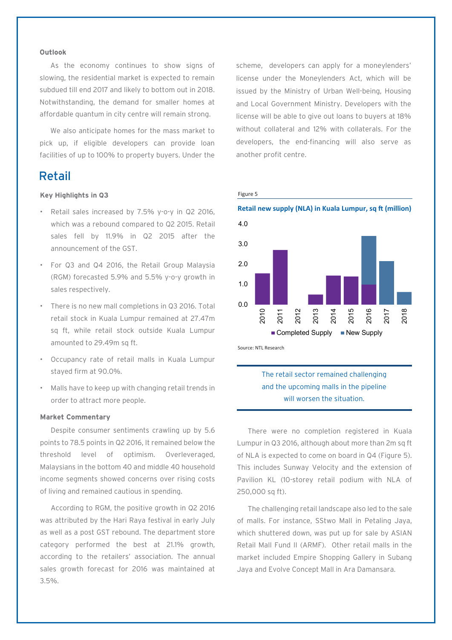### **Outlook**

As the economy continues to show signs of slowing, the residential market is expected to remain subdued till end 2017 and likely to bottom out in 2018. Notwithstanding, the demand for smaller homes at affordable quantum in city centre will remain strong.

We also anticipate homes for the mass market to pick up, if eligible developers can provide loan facilities of up to 100% to property buyers. Under the

### Retail

### **Key Highlights in Q3**

- Retail sales increased by 7.5% y-o-y in Q2 2016, which was a rebound compared to Q2 2015. Retail sales fell by 11.9% in Q2 2015 after the announcement of the GST.
- For Q3 and Q4 2016, the Retail Group Malaysia (RGM) forecasted 5.9% and 5.5% y-o-y growth in sales respectively.
- There is no new mall completions in Q3 2016. Total retail stock in Kuala Lumpur remained at 27.47m sq ft, while retail stock outside Kuala Lumpur amounted to 29.49m sq ft.
- Occupancy rate of retail malls in Kuala Lumpur stayed firm at 90.0%.
- Malls have to keep up with changing retail trends in order to attract more people.

### **Market Commentary**

Despite consumer sentiments crawling up by 5.6 points to 78.5 points in Q2 2016, It remained below the threshold level of optimism. Overleveraged, Malaysians in the bottom 40 and middle 40 household income segments showed concerns over rising costs of living and remained cautious in spending.

According to RGM, the positive growth in Q2 2016 was attributed by the Hari Raya festival in early July as well as a post GST rebound. The department store category performed the best at 21.1% growth, according to the retailers' association. The annual sales growth forecast for 2016 was maintained at 3.5%.

scheme, developers can apply for a moneylenders' license under the Moneylenders Act, which will be issued by the Ministry of Urban Well-being, Housing and Local Government Ministry. Developers with the license will be able to give out loans to buyers at 18% without collateral and 12% with collaterals. For the developers, the end-financing will also serve as another profit centre.

#### Figure 5



Source: NTL Research

### The retail sector remained challenging and the upcoming malls in the pipeline will worsen the situation.

There were no completion registered in Kuala Lumpur in Q3 2016, although about more than 2m sq ft of NLA is expected to come on board in Q4 (Figure 5). This includes Sunway Velocity and the extension of Pavilion KL (10-storey retail podium with NLA of 250,000 sq ft).

The challenging retail landscape also led to the sale of malls. For instance, SStwo Mall in Petaling Jaya, which shuttered down, was put up for sale by ASIAN Retail Mall Fund II (ARMF). Other retail malls in the market included Empire Shopping Gallery in Subang Jaya and Evolve Concept Mall in Ara Damansara.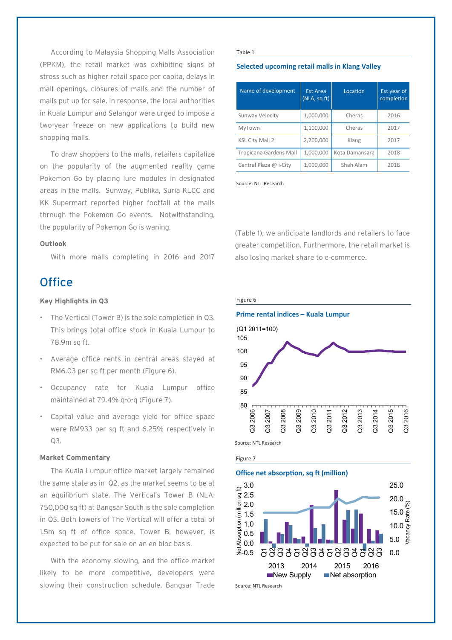According to Malaysia Shopping Malls Association (PPKM), the retail market was exhibiting signs of stress such as higher retail space per capita, delays in mall openings, closures of malls and the number of malls put up for sale. In response, the local authorities in Kuala Lumpur and Selangor were urged to impose a two-year freeze on new applications to build new shopping malls.

To draw shoppers to the malls, retailers capitalize on the popularity of the augmented reality game Pokemon Go by placing lure modules in designated areas in the malls. Sunway, Publika, Suria KLCC and KK Supermart reported higher footfall at the malls through the Pokemon Go events. Notwithstanding, the popularity of Pokemon Go is waning.

### **Outlook**

With more malls completing in 2016 and 2017

### **Office**

### **Key Highlights in Q3**

- The Vertical (Tower B) is the sole completion in Q3. This brings total office stock in Kuala Lumpur to 78.9m sq ft.
- Average office rents in central areas stayed at RM6.03 per sq ft per month (Figure 6).
- Occupancy rate for Kuala Lumpur office maintained at 79.4% q-o-q (Figure 7).
- Capital value and average yield for office space were RM933 per sq ft and 6.25% respectively in  $O3.$

### **Market Commentary**

The Kuala Lumpur office market largely remained the same state as in Q2, as the market seems to be at an equilibrium state. The Vertical's Tower B (NLA: 750,000 sq ft) at Bangsar South is the sole completion in Q3. Both towers of The Vertical will offer a total of 1.5m sq ft of office space. Tower B, however, is expected to be put for sale on an en bloc basis.

With the economy slowing, and the office market likely to be more competitive, developers were slowing their construction schedule. Bangsar Trade

#### Table 1

### **Selected upcoming retail malls in Klang Valley**

| Name of development           | <b>Est Area</b><br>(NLA, sqft) | Location       | Est year of<br>completion |
|-------------------------------|--------------------------------|----------------|---------------------------|
| Sunway Velocity               | 1,000,000                      | Cheras         | 2016                      |
| MyTown                        | 1,100,000                      | Cheras         | 2017                      |
| <b>KSL City Mall 2</b>        | 2,200,000                      | Klang          | 2017                      |
| <b>Tropicana Gardens Mall</b> | 1,000,000                      | Kota Damansara | 2018                      |
| Central Plaza @ i-City        | 1,000,000                      | Shah Alam      | 2018                      |

Source: NTL Research

(Table 1), we anticipate landlords and retailers to face greater competition. Furthermore, the retail market is also losing market share to e-commerce.



2013 2014 2015 2016

 $\blacksquare$ New Supply  $\blacksquare$ Net absorption

Source: NTL Research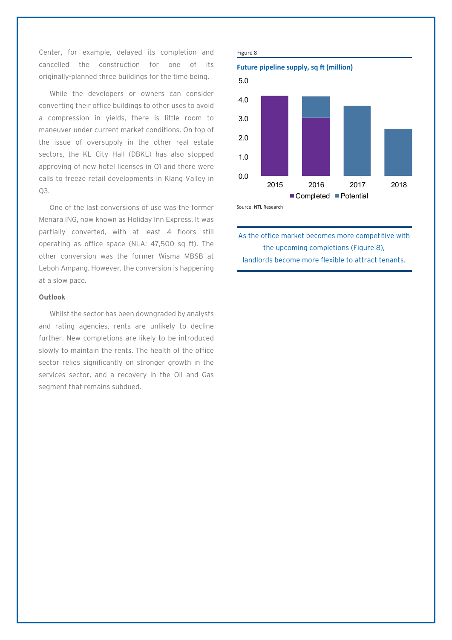Center, for example, delayed its completion and cancelled the construction for one of its originally-planned three buildings for the time being.

While the developers or owners can consider converting their office buildings to other uses to avoid a compression in yields, there is little room to maneuver under current market conditions. On top of the issue of oversupply in the other real estate sectors, the KL City Hall (DBKL) has also stopped approving of new hotel licenses in Q1 and there were calls to freeze retail developments in Klang Valley in Q3.

One of the last conversions of use was the former Menara ING, now known as Holiday Inn Express. It was partially converted, with at least 4 floors still operating as office space (NLA: 47,500 sq ft). The other conversion was the former Wisma MBSB at Leboh Ampang. However, the conversion is happening at a slow pace.

### **Outlook**

Whilst the sector has been downgraded by analysts and rating agencies, rents are unlikely to decline further. New completions are likely to be introduced slowly to maintain the rents. The health of the office sector relies significantly on stronger growth in the services sector, and a recovery in the Oil and Gas segment that remains subdued.



As the office market becomes more competitive with the upcoming completions (Figure 8), landlords become more flexible to attract tenants.